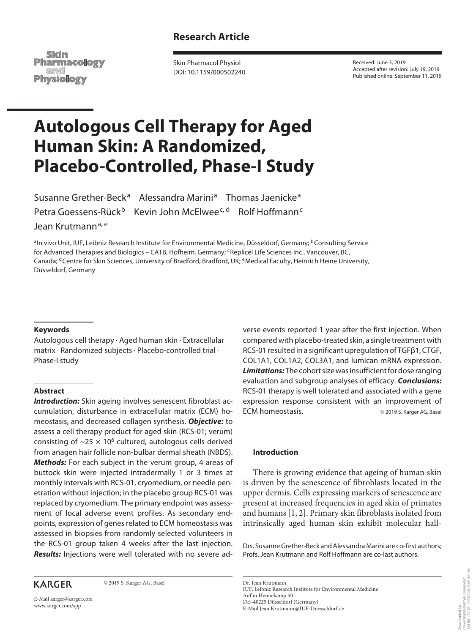# **Research Article**

Skim **Pharmacology** and **Physiology** 

Skin Pharmacol Physiol DOI: 10.1159/000502240 Received: June 3, 2019 Accepted after revision: July 19, 2019 Published online: September 11, 2019

# **Autologous Cell Therapy for Aged Human Skin: A Randomized, Placebo-Controlled, Phase-I Study**

Susanne Grether-Beck<sup>a</sup> Alessandra Marini<sup>a</sup> Thomas Jaenicke<sup>a</sup> Petra Goessens-Rück<sup>b</sup> Kevin John McElwee<sup>c, d</sup> Rolf Hoffmann<sup>c</sup>

Jean Krutmann<sup>a, e</sup>

aIn vivo Unit, IUF, Leibniz Research Institute for Environmental Medicine, Düsseldorf, Germany; <sup>b</sup>Consulting Service for Advanced Therapies and Biologics - CATB, Hofheim, Germany; 'Replicel Life Sciences Inc., Vancouver, BC, Canada; <sup>d</sup>Centre for Skin Sciences, University of Bradford, Bradford, UK; <sup>e</sup>Medical Faculty, Heinrich Heine University, Düsseldorf, Germany

#### **Keywords**

Autologous cell therapy · Aged human skin · Extracellular matrix · Randomized subjects · Placebo-controlled trial · Phase-I study

## **Abstract**

**Introduction:** Skin ageing involves senescent fibroblast accumulation, disturbance in extracellular matrix (ECM) homeostasis, and decreased collagen synthesis. *Objective:* to assess a cell therapy product for aged skin (RCS-01; verum) consisting of  $\sim$ 25  $\times$  10<sup>6</sup> cultured, autologous cells derived from anagen hair follicle non-bulbar dermal sheath (NBDS). *Methods:* For each subject in the verum group, 4 areas of buttock skin were injected intradermally 1 or 3 times at monthly intervals with RCS-01, cryomedium, or needle penetration without injection; in the placebo group RCS-01 was replaced by cryomedium. The primary endpoint was assessment of local adverse event profiles. As secondary endpoints, expression of genes related to ECM homeostasis was assessed in biopsies from randomly selected volunteers in the RCS-01 group taken 4 weeks after the last injection. *Results:* Injections were well tolerated with no severe ad-

## **KARGER**

© 2019 S. Karger AG, Basel

E-Mail karger@karger.com www.karger.com/spp

verse events reported 1 year after the first injection. When compared with placebo-treated skin, a single treatment with RCS-01 resulted in a significant upregulation of TGFβ1, CTGF, COL1A1, COL1A2, COL3A1, and lumican mRNA expression. *Limitations:* The cohort size was insufficient for dose ranging evaluation and subgroup analyses of efficacy. *Conclusions:* RCS-01 therapy is well tolerated and associated with a gene expression response consistent with an improvement of ECM homeostasis.  $\Box$  © 2019 S. Karger AG, Basel

#### **Introduction**

There is growing evidence that ageing of human skin is driven by the senescence of fibroblasts located in the upper dermis. Cells expressing markers of senescence are present at increased frequencies in aged skin of primates and humans [1, 2]. Primary skin fibroblasts isolated from intrinsically aged human skin exhibit molecular hall-

Drs. Susanne Grether-Beck and Alessandra Marini are co-first authors; Profs. Jean Krutmann and Rolf Hoffmann are co-last authors.

Dr. Jean Krutmann IUF, Leibniz Research Institute for Environmental Medicine Auf'm Hennekamp 50 DE–40225 Düsseldorf (Germany) E-Mail Jean.Krutmann@IUF-Duesseldorf.de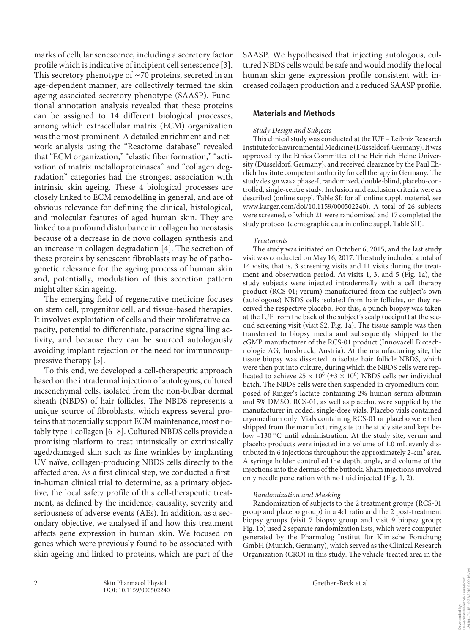marks of cellular senescence, including a secretory factor profile which is indicative of incipient cell senescence [3]. This secretory phenotype of  $\sim$  70 proteins, secreted in an age-dependent manner, are collectively termed the skin ageing-associated secretory phenotype (SAASP). Functional annotation analysis revealed that these proteins can be assigned to 14 different biological processes, among which extracellular matrix (ECM) organization was the most prominent. A detailed enrichment and network analysis using the "Reactome database" revealed that "ECM organization," "elastic fiber formation," "activation of matrix metalloproteinases" and "collagen degradation" categories had the strongest association with intrinsic skin ageing. These 4 biological processes are closely linked to ECM remodelling in general, and are of obvious relevance for defining the clinical, histological, and molecular features of aged human skin. They are linked to a profound disturbance in collagen homeostasis because of a decrease in de novo collagen synthesis and an increase in collagen degradation [4]. The secretion of these proteins by senescent fibroblasts may be of pathogenetic relevance for the ageing process of human skin and, potentially, modulation of this secretion pattern might alter skin ageing.

The emerging field of regenerative medicine focuses on stem cell, progenitor cell, and tissue-based therapies. It involves exploitation of cells and their proliferative capacity, potential to differentiate, paracrine signalling activity, and because they can be sourced autologously avoiding implant rejection or the need for immunosuppressive therapy [5].

To this end, we developed a cell-therapeutic approach based on the intradermal injection of autologous, cultured mesenchymal cells, isolated from the non-bulbar dermal sheath (NBDS) of hair follicles. The NBDS represents a unique source of fibroblasts, which express several proteins that potentially support ECM maintenance, most notably type 1 collagen [6–8]. Cultured NBDS cells provide a promising platform to treat intrinsically or extrinsically aged/damaged skin such as fine wrinkles by implanting UV naïve, collagen-producing NBDS cells directly to the affected area. As a first clinical step, we conducted a firstin-human clinical trial to determine, as a primary objective, the local safety profile of this cell-therapeutic treatment, as defined by the incidence, causality, severity and seriousness of adverse events (AEs). In addition, as a secondary objective, we analysed if and how this treatment affects gene expression in human skin. We focused on genes which were previously found to be associated with skin ageing and linked to proteins, which are part of the

SAASP. We hypothesised that injecting autologous, cultured NBDS cells would be safe and would modify the local human skin gene expression profile consistent with increased collagen production and a reduced SAASP profile.

## **Materials and Methods**

## *Study Design and Subjects*

This clinical study was conducted at the IUF – Leibniz Research Institute for Environmental Medicine (Düsseldorf, Germany). It was approved by the Ethics Committee of the Heinrich Heine University (Düsseldorf, Germany), and received clearance by the Paul Ehrlich Institute competent authority for cell therapy in Germany. The study design was a phase-I, randomized, double-blind, placebo-controlled, single-centre study. Inclusion and exclusion criteria were as described (online suppl. Table SI; for all online suppl. material, see www.karger.com/doi/10.1159/000502240). A total of 26 subjects were screened, of which 21 were randomized and 17 completed the study protocol (demographic data in online suppl. Table SII).

#### *Treatments*

The study was initiated on October 6, 2015, and the last study visit was conducted on May 16, 2017. The study included a total of 14 visits, that is, 3 screening visits and 11 visits during the treatment and observation period. At visits 1, 3, and 5 (Fig. 1a), the study subjects were injected intradermally with a cell therapy product (RCS-01; verum) manufactured from the subject's own (autologous) NBDS cells isolated from hair follicles, or they received the respective placebo. For this, a punch biopsy was taken at the IUF from the back of the subject's scalp (occiput) at the second screening visit (visit S2; Fig. 1a). The tissue sample was then transferred to biopsy media and subsequently shipped to the cGMP manufacturer of the RCS-01 product (Innovacell Biotechnologie AG, Innsbruck, Austria). At the manufacturing site, the tissue biopsy was dissected to isolate hair follicle NBDS, which were then put into culture, during which the NBDS cells were replicated to achieve  $25 \times 10^6$  ( $\pm 3 \times 10^6$ ) NBDS cells per individual batch. The NBDS cells were then suspended in cryomedium composed of Ringer's lactate containing 2% human serum albumin and 5% DMSO. RCS-01, as well as placebo, were supplied by the manufacturer in coded, single-dose vials. Placebo vials contained cryomedium only. Vials containing RCS-01 or placebo were then shipped from the manufacturing site to the study site and kept below -130 °C until administration. At the study site, verum and placebo products were injected in a volume of 1.0 mL evenly distributed in 6 injections throughout the approximately 2-cm<sup>2</sup> area. A syringe holder controlled the depth, angle, and volume of the injections into the dermis of the buttock. Sham injections involved only needle penetration with no fluid injected (Fig. 1, 2).

## *Randomization and Masking*

Randomization of subjects to the 2 treatment groups (RCS-01 group and placebo group) in a 4:1 ratio and the 2 post-treatment biopsy groups (visit 7 biopsy group and visit 9 biopsy group; Fig. 1b) used 2 separate randomization lists, which were computer generated by the Pharmalog Institut für Klinische Forschung GmbH (Munich, Germany), which served as the Clinical Research Organization (CRO) in this study. The vehicle-treated area in the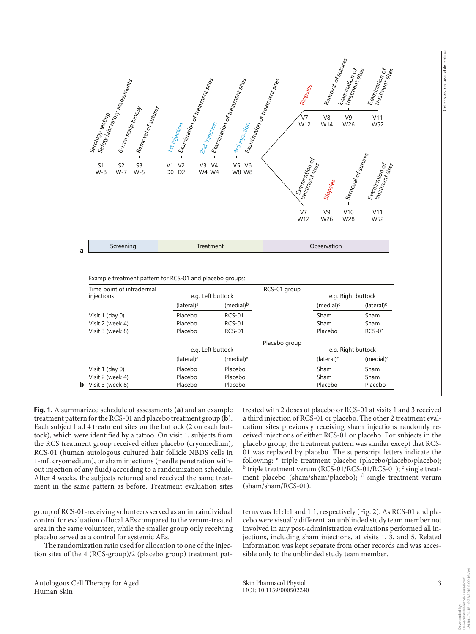

**Fig. 1.** A summarized schedule of assessments (**a**) and an example treatment pattern for the RCS-01 and placebo treatment group (**b**). Each subject had 4 treatment sites on the buttock (2 on each buttock), which were identified by a tattoo. On visit 1, subjects from the RCS treatment group received either placebo (cryomedium), RCS-01 (human autologous cultured hair follicle NBDS cells in 1-mL cryomedium), or sham injections (needle penetration without injection of any fluid) according to a randomization schedule. After 4 weeks, the subjects returned and received the same treatment in the same pattern as before. Treatment evaluation sites

group of RCS-01-receiving volunteers served as an intraindividual control for evaluation of local AEs compared to the verum-treated area in the same volunteer, while the smaller group only receiving placebo served as a control for systemic AEs.

The randomization ratio used for allocation to one of the injection sites of the 4 (RCS-group)/2 (placebo group) treatment pat-

Autologous Cell Therapy for Aged Human Skin

treated with 2 doses of placebo or RCS-01 at visits 1 and 3 received a third injection of RCS-01 or placebo. The other 2 treatment evaluation sites previously receiving sham injections randomly received injections of either RCS-01 or placebo. For subjects in the placebo group, the treatment pattern was similar except that RCS-01 was replaced by placebo. The superscript letters indicate the following: <sup>a</sup> triple treatment placebo (placebo/placebo/placebo); <sup>b</sup> triple treatment verum (RCS-01/RCS-01/RCS-01); <sup>c</sup> single treatment placebo (sham/sham/placebo); <sup>d</sup> single treatment verum (sham/sham/RCS-01).

terns was 1:1:1:1 and 1:1, respectively (Fig. 2). As RCS-01 and placebo were visually different, an unblinded study team member not involved in any post-administration evaluations performed all injections, including sham injections, at visits 1, 3, and 5. Related information was kept separate from other records and was accessible only to the unblinded study team member.

Downloaded by: Universitätsbibliothek Düsseldorf 134.99.174.15 - 9/25/2019 9:00:16 AM

Downloaded by:<br>Universitätsbibliothek Düsseldorf<br>134.99.174.15 - 9/25/2019 9:00:16 AM

Color version available online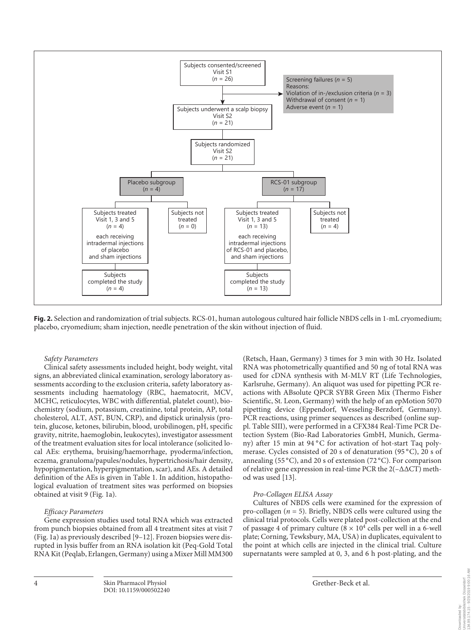

**Fig. 2.** Selection and randomization of trial subjects. RCS-01, human autologous cultured hair follicle NBDS cells in 1-mL cryomedium; placebo, cryomedium; sham injection, needle penetration of the skin without injection of fluid.

#### *Safety Parameters*

Clinical safety assessments included height, body weight, vital signs, an abbreviated clinical examination, serology laboratory assessments according to the exclusion criteria, safety laboratory assessments including haematology (RBC, haematocrit, MCV, MCHC, reticulocytes, WBC with differential, platelet count), biochemistry (sodium, potassium, creatinine, total protein, AP, total cholesterol, ALT, AST, BUN, CRP), and dipstick urinalysis (protein, glucose, ketones, bilirubin, blood, urobilinogen, pH, specific gravity, nitrite, haemoglobin, leukocytes), investigator assessment of the treatment evaluation sites for local intolerance (solicited local AEs: erythema, bruising/haemorrhage, pyoderma/infection, eczema, granuloma/papules/nodules, hypertrichosis/hair density, hypopigmentation, hyperpigmentation, scar), and AEs. A detailed definition of the AEs is given in Table 1. In addition, histopathological evaluation of treatment sites was performed on biopsies obtained at visit 9 (Fig. 1a).

#### *Efficacy Parameters*

Gene expression studies used total RNA which was extracted from punch biopsies obtained from all 4 treatment sites at visit 7 (Fig. 1a) as previously described [9–12]. Frozen biopsies were disrupted in lysis buffer from an RNA isolation kit (Peq-Gold Total RNA Kit (Peqlab, Erlangen, Germany) using a Mixer Mill MM300

(Retsch, Haan, Germany) 3 times for 3 min with 30 Hz. Isolated RNA was photometrically quantified and 50 ng of total RNA was used for cDNA synthesis with M-MLV RT (Life Technologies, Karlsruhe, Germany). An aliquot was used for pipetting PCR reactions with ABsolute QPCR SYBR Green Mix (Thermo Fisher Scientific, St. Leon, Germany) with the help of an epMotion 5070 pipetting device (Eppendorf, Wesseling-Berzdorf, Germany). PCR reactions, using primer sequences as described (online suppl. Table SIII), were performed in a CFX384 Real-Time PCR Detection System (Bio-Rad Laboratories GmbH, Munich, Germany) after 15 min at 94 °C for activation of hot-start Taq polymerase. Cycles consisted of 20 s of denaturation (95 °C), 20 s of annealing (55 $^{\circ}$ C), and 20 s of extension (72 $^{\circ}$ C). For comparison of relative gene expression in real-time PCR the 2(–∆∆CT) method was used [13].

#### *Pro-Collagen ELISA Assay*

Cultures of NBDS cells were examined for the expression of pro-collagen  $(n = 5)$ . Briefly, NBDS cells were cultured using the clinical trial protocols. Cells were plated post-collection at the end of passage 4 of primary culture ( $8 \times 10^4$  cells per well in a 6-well plate; Corning, Tewksbury, MA, USA) in duplicates, equivalent to the point at which cells are injected in the clinical trial. Culture supernatants were sampled at 0, 3, and 6 h post-plating, and the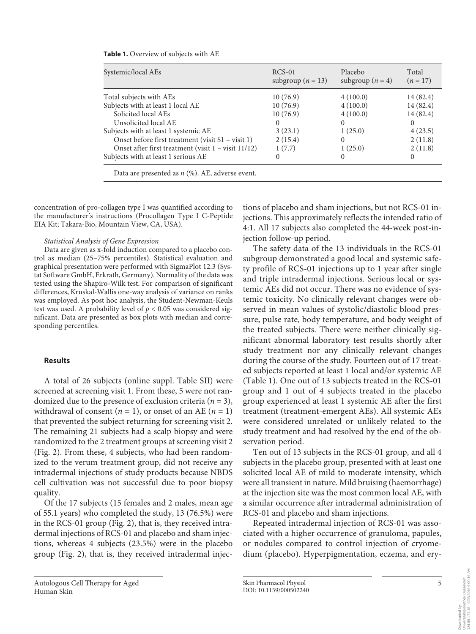|  |  |  |  | <b>Table 1.</b> Overview of subjects with AE |  |  |
|--|--|--|--|----------------------------------------------|--|--|
|--|--|--|--|----------------------------------------------|--|--|

| Systemic/local AEs                                       | $RCS-01$<br>subgroup ( $n = 13$ ) | Placebo<br>subgroup $(n = 4)$ | Total<br>$(n=17)$ |
|----------------------------------------------------------|-----------------------------------|-------------------------------|-------------------|
| Total subjects with AEs                                  | 10(76.9)                          | 4(100.0)                      | 14 (82.4)         |
| Subjects with at least 1 local AE                        | 10(76.9)                          | 4(100.0)                      | 14 (82.4)         |
| Solicited local AEs                                      | 10(76.9)                          | 4(100.0)                      | 14 (82.4)         |
| Unsolicited local AE                                     | $\Omega$                          | 0                             | $\Omega$          |
| Subjects with at least 1 systemic AE                     | 3(23.1)                           | 1(25.0)                       | 4(23.5)           |
| Onset before first treatment (visit S1 - visit 1)        | 2(15.4)                           | $\Omega$                      | 2(11.8)           |
| Onset after first treatment (visit $1 -$ visit $11/12$ ) | 1(7.7)                            | 1(25.0)                       | 2(11.8)           |
| Subjects with at least 1 serious AE                      | 0                                 | $\theta$                      | $\Omega$          |
| Data are presented as $n$ (%). AE, adverse event.        |                                   |                               |                   |

concentration of pro-collagen type I was quantified according to the manufacturer's instructions (Procollagen Type I C-Peptide EIA Kit; Takara-Bio, Mountain View, CA, USA).

#### *Statistical Analysis of Gene Expression*

Data are given as x-fold induction compared to a placebo control as median (25–75% percentiles). Statistical evaluation and graphical presentation were performed with SigmaPlot 12.3 (Systat Software GmbH, Erkrath, Germany). Normality of the data was tested using the Shapiro-Wilk test. For comparison of significant differences, Kruskal-Wallis one-way analysis of variance on ranks was employed. As post hoc analysis, the Student-Newman-Keuls test was used. A probability level of *p* < 0.05 was considered significant. Data are presented as box plots with median and corresponding percentiles.

#### **Results**

A total of 26 subjects (online suppl. Table SII) were screened at screening visit 1. From these, 5 were not randomized due to the presence of exclusion criteria  $(n = 3)$ , withdrawal of consent  $(n = 1)$ , or onset of an AE  $(n = 1)$ that prevented the subject returning for screening visit 2. The remaining 21 subjects had a scalp biopsy and were randomized to the 2 treatment groups at screening visit 2 (Fig. 2). From these, 4 subjects, who had been randomized to the verum treatment group, did not receive any intradermal injections of study products because NBDS cell cultivation was not successful due to poor biopsy quality.

Of the 17 subjects (15 females and 2 males, mean age of 55.1 years) who completed the study, 13 (76.5%) were in the RCS-01 group (Fig. 2), that is, they received intradermal injections of RCS-01 and placebo and sham injections, whereas 4 subjects (23.5%) were in the placebo group (Fig. 2), that is, they received intradermal injections of placebo and sham injections, but not RCS-01 injections. This approximately reflects the intended ratio of 4:1. All 17 subjects also completed the 44-week post-injection follow-up period.

The safety data of the 13 individuals in the RCS-01 subgroup demonstrated a good local and systemic safety profile of RCS-01 injections up to 1 year after single and triple intradermal injections. Serious local or systemic AEs did not occur. There was no evidence of systemic toxicity. No clinically relevant changes were observed in mean values of systolic/diastolic blood pressure, pulse rate, body temperature, and body weight of the treated subjects. There were neither clinically significant abnormal laboratory test results shortly after study treatment nor any clinically relevant changes during the course of the study. Fourteen out of 17 treated subjects reported at least 1 local and/or systemic AE (Table 1). One out of 13 subjects treated in the RCS-01 group and 1 out of 4 subjects treated in the placebo group experienced at least 1 systemic AE after the first treatment (treatment-emergent AEs). All systemic AEs were considered unrelated or unlikely related to the study treatment and had resolved by the end of the observation period.

Ten out of 13 subjects in the RCS-01 group, and all 4 subjects in the placebo group, presented with at least one solicited local AE of mild to moderate intensity, which were all transient in nature. Mild bruising (haemorrhage) at the injection site was the most common local AE, with a similar occurrence after intradermal administration of RCS-01 and placebo and sham injections.

Repeated intradermal injection of RCS-01 was associated with a higher occurrence of granuloma, papules, or nodules compared to control injection of cryomedium (placebo). Hyperpigmentation, eczema, and ery-

Downloaded by:<br>Universitätsbibliothek Düsseldorf<br>134.99.174.15 - 9/25/2019 9:00:16 AM Universitätsbibliothek Düsseldorf Downloaded by:

134.99.174.15 - 9/25/2019 9:00:16 AM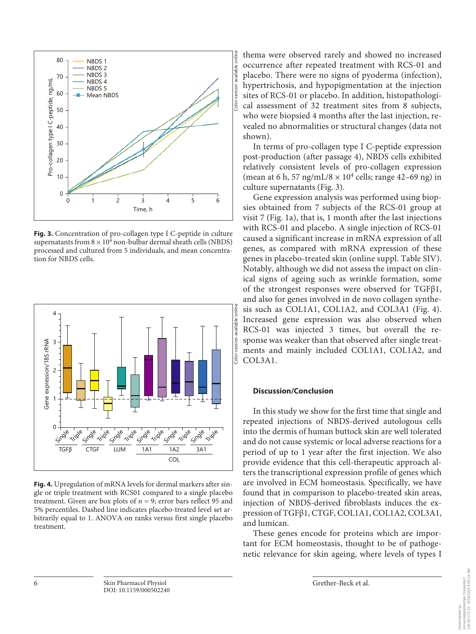

**Fig. 3.** Concentration of pro-collagen type I C-peptide in culture supernatants from  $8 \times 10^4$  non-bulbar dermal sheath cells (NBDS) processed and cultured from 5 individuals, and mean concentration for NBDS cells.



**Fig. 4.** Upregulation of mRNA levels for dermal markers after single or triple treatment with RCS01 compared to a single placebo treatment. Given are box plots of  $n = 9$ ; error bars reflect 95 and 5% percentiles. Dashed line indicates placebo-treated level set arbitrarily equal to 1. ANOVA on ranks versus first single placebo treatment.

thema were observed rarely and showed no increased occurrence after repeated treatment with RCS-01 and placebo. There were no signs of pyoderma (infection), hypertrichosis, and hypopigmentation at the injection sites of RCS-01 or placebo. In addition, histopathological assessment of 32 treatment sites from 8 subjects, who were biopsied 4 months after the last injection, revealed no abnormalities or structural changes (data not shown).

In terms of pro-collagen type I C-peptide expression post-production (after passage 4), NBDS cells exhibited relatively consistent levels of pro-collagen expression (mean at 6 h, 57 ng/mL/8  $\times$  10<sup>4</sup> cells; range 42–69 ng) in culture supernatants (Fig. 3).

Gene expression analysis was performed using biopsies obtained from 7 subjects of the RCS-01 group at visit 7 (Fig. 1a), that is, 1 month after the last injections with RCS-01 and placebo. A single injection of RCS-01 caused a significant increase in mRNA expression of all genes, as compared with mRNA expression of these genes in placebo-treated skin (online suppl. Table SIV). Notably, although we did not assess the impact on clinical signs of ageing such as wrinkle formation, some of the strongest responses were observed for TGFβ1, and also for genes involved in de novo collagen synthesis such as COL1A1, COL1A2, and COL3A1 (Fig. 4). Increased gene expression was also observed when RCS-01 was injected 3 times, but overall the response was weaker than that observed after single treatments and mainly included COL1A1, COL1A2, and COL3A1.

## **Discussion/Conclusion**

In this study we show for the first time that single and repeated injections of NBDS-derived autologous cells into the dermis of human buttock skin are well tolerated and do not cause systemic or local adverse reactions for a period of up to 1 year after the first injection. We also provide evidence that this cell-therapeutic approach alters the transcriptional expression profile of genes which are involved in ECM homeostasis. Specifically, we have found that in comparison to placebo-treated skin areas, injection of NBDS-derived fibroblasts induces the expression of TGFβ1, CTGF, COL1A1, COL1A2, COL3A1, and lumican.

These genes encode for proteins which are important for ECM homeostasis, thought to be of pathogenetic relevance for skin ageing, where levels of types I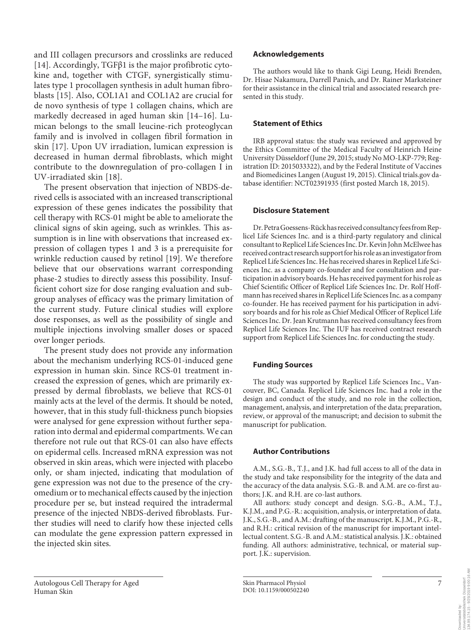and III collagen precursors and crosslinks are reduced [14]. Accordingly, TGFβ1 is the major profibrotic cytokine and, together with CTGF, synergistically stimulates type 1 procollagen synthesis in adult human fibroblasts [15]. Also, COL1A1 and COL1A2 are crucial for de novo synthesis of type 1 collagen chains, which are markedly decreased in aged human skin [14–16]. Lumican belongs to the small leucine-rich proteoglycan family and is involved in collagen fibril formation in skin [17]. Upon UV irradiation, lumican expression is decreased in human dermal fibroblasts, which might contribute to the downregulation of pro-collagen I in UV-irradiated skin [18].

The present observation that injection of NBDS-derived cells is associated with an increased transcriptional expression of these genes indicates the possibility that cell therapy with RCS-01 might be able to ameliorate the clinical signs of skin ageing, such as wrinkles. This assumption is in line with observations that increased expression of collagen types 1 and 3 is a prerequisite for wrinkle reduction caused by retinol [19]. We therefore believe that our observations warrant corresponding phase-2 studies to directly assess this possibility. Insufficient cohort size for dose ranging evaluation and subgroup analyses of efficacy was the primary limitation of the current study. Future clinical studies will explore dose responses, as well as the possibility of single and multiple injections involving smaller doses or spaced over longer periods.

The present study does not provide any information about the mechanism underlying RCS-01-induced gene expression in human skin. Since RCS-01 treatment increased the expression of genes, which are primarily expressed by dermal fibroblasts, we believe that RCS-01 mainly acts at the level of the dermis. It should be noted, however, that in this study full-thickness punch biopsies were analysed for gene expression without further separation into dermal and epidermal compartments. We can therefore not rule out that RCS-01 can also have effects on epidermal cells. Increased mRNA expression was not observed in skin areas, which were injected with placebo only, or sham injected, indicating that modulation of gene expression was not due to the presence of the cryomedium or to mechanical effects caused by the injection procedure per se, but instead required the intradermal presence of the injected NBDS-derived fibroblasts. Further studies will need to clarify how these injected cells can modulate the gene expression pattern expressed in the injected skin sites.

## **Acknowledgements**

The authors would like to thank Gigi Leung, Heidi Brenden, Dr. Hisae Nakamura, Darrell Panich, and Dr. Rainer Marksteiner for their assistance in the clinical trial and associated research presented in this study.

## **Statement of Ethics**

IRB approval status: the study was reviewed and approved by the Ethics Committee of the Medical Faculty of Heinrich Heine University Düsseldorf (June 29, 2015; study No MO-LKP-779; Registration ID: 2015033322), and by the Federal Institute of Vaccines and Biomedicines Langen (August 19, 2015). Clinical trials.gov database identifier: NCT02391935 (first posted March 18, 2015).

## **Disclosure Statement**

Dr. Petra Goessens-Rück has received consultancy fees from Replicel Life Sciences Inc. and is a third-party regulatory and clinical consultant to Replicel Life Sciences Inc. Dr. Kevin John McElwee has received contract research support for his role as an investigator from Replicel Life Sciences Inc. He has received shares in Replicel Life Sciences Inc. as a company co-founder and for consultation and participation in advisory boards. He has received payment for his role as Chief Scientific Officer of Replicel Life Sciences Inc. Dr. Rolf Hoffmann has received shares in Replicel Life Sciences Inc. as a company co-founder. He has received payment for his participation in advisory boards and for his role as Chief Medical Officer of Replicel Life Sciences Inc. Dr. Jean Krutmann has received consultancy fees from Replicel Life Sciences Inc. The IUF has received contract research support from Replicel Life Sciences Inc. for conducting the study.

## **Funding Sources**

The study was supported by Replicel Life Sciences Inc., Vancouver, BC, Canada. Replicel Life Sciences Inc. had a role in the design and conduct of the study, and no role in the collection, management, analysis, and interpretation of the data; preparation, review, or approval of the manuscript; and decision to submit the manuscript for publication.

## **Author Contributions**

A.M., S.G.-B., T.J., and J.K. had full access to all of the data in the study and take responsibility for the integrity of the data and the accuracy of the data analysis. S.G.-B. and A.M. are co-first authors; J.K. and R.H. are co-last authors.

All authors: study concept and design. S.G.-B., A.M., T.J., K.J.M., and P.G.-R.: acquisition, analysis, or interpretation of data. J.K., S.G.-B., and A.M.: drafting of the manuscript. K.J.M., P.G.-R., and R.H.: critical revision of the manuscript for important intellectual content. S.G.-B. and A.M.: statistical analysis. J.K.: obtained funding. All authors: administrative, technical, or material support. J.K.: supervision.